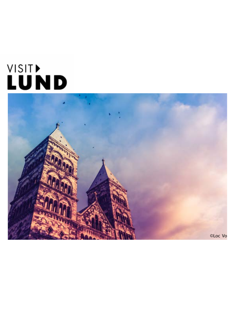# VISIT)<br>LUND

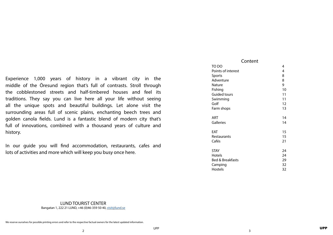<span id="page-1-0"></span>Experience 1,000 years of history in a vibrant city in the middle of the Öresund region that's full of contrasts. Stroll through the cobblestoned streets and half-timbered houses and feel its traditions. They say you can live here all your life without seeing all the unique spots and beautiful buildings. Let alone visit the surrounding areas full of scenic plains, enchanting beech trees and golden canola fields. Lund is a fantastic blend of modern city that's full of innovations, combined with a thousand years of culture and history.

[TO DO 4](#page-2-0) Points of interest [4](#page-2-0) [Sports 8](#page-4-0) Adventure [8](#page-4-0) Nature [9](#page-4-0) Fishing [10](#page-5-0) Guided tours [11](#page-5-0) Swimming [11](#page-5-0) Golf 22 and 22 and 22 and 23 and 23 and 23 and 23 and 23 and 23 and 23 and 23 and 23 and 23 and 23 and 23 and 2 Farm shops [13](#page-6-0)

[ART 14](#page-7-0) Galleries [14](#page-7-0)

EAT 2001 15 Restaurants [15](#page-7-0) Cafés [21](#page-10-0)

[STAY 24](#page-12-0) Hotels [24](#page-12-0) Bed & Breakfasts [29](#page-14-0) Camping [32](#page-16-0) Hostels [32](#page-16-0)

In our guide you will find accommodation, restaurants, cafes and lots of activities and more which will keep you busy once here.

# LUND TOURIST CENTER

Bangatan 1, 222 21 LUND, +46 (0)46-359 50 40, [visit@lund.se](mailto:visit%40lund.se?subject=)

We reserve ourselves for possible printing errors and refer to the respective factual owners for the latest updated information.

# Content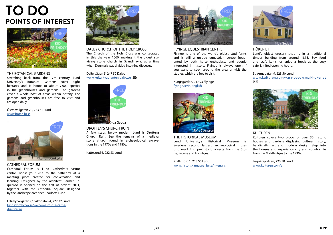# THE BOTANICAL GARDENS

Stretching back from, the 17th century, Lund University's Botanical Gardens cover eight hectares and is home to about 7,000 species in the greenhouses and gardens. The gardens cover a whole host of areas within botany. The gardens and greenhouses are free to visit and are open daily.

Östra Vallgatan 20, 223 61 Lund [www.botan.lu.se](http://www.botan.lu.se/in-english)

## CATHEDRAL FORUM

Cathedral Forum is Lund Cathedral's visitor centre. Boost your visit to the cathedral at a meeting place created for conversation and learning. Designed by the architect Carmen Izquierdo it opened on the first of advent 2011, together with the Cathedral Square, designed by the landscape architect Charlotte Lund.

Lilla kyrkogatan 2/Kyrkogatan 4, 222 22 Lund [lundsdomkyrka.se/welcome-to-the-cathe](http://lundsdomkyrka.se/domkyrkoforum/domkyrkoforum-2/welcome-to-the-cathedral-forum/)[dral-forum](http://lundsdomkyrka.se/domkyrkoforum/domkyrkoforum-2/welcome-to-the-cathedral-forum/)

DALBY CHURCH OF THE HOLY CROSS The Church of the Holy Cross was consecrated in this the year 1060, making it the oldest surviving stone church in Scandinavia, at a time when Denmark was divided into nine dioceses.

Dalbyvägen 5, 247 50 Dalby [www.kulturkvadrantenidalby.se](http://www.kulturkvadrantenidalby.se) (SE)

#### DROTTEN'S CHURCH RUIN

A few steps below modern Lund is Drotten's Church Ruin. See the remains of a medieval stone church found in archaeological excavations in the 1970s and 1980s.

Kattesund 6, 222 23 Lund

# FLYINGE EQUESTRIAN CENTRE

Flyinge is one of the world's oldest stud farms and is still a unique equestrian centre frequented by both horse enthusiasts and people interested in history. Flyinge is always open if you want to stroll around the area or visit the stables, which are free to visit.

Kungsgården, 247 93 Flyinge [flyinge.se/in-english](https://flyinge.se/in-english/)

#### THE HISTORICAL MUSEUM

Lund University's Historical Museum is Sweden's second largest archaeological museum. You'll find prehistoric objects from the Stone, Bronze and Iron Ages.

Krafts Torg 1, 223 50 Lund [www.historiskamuseet.lu.se/in-english](http://www.historiskamuseet.lu.se/in-english)

# HÖKERIET

Lund's oldest grocery shop is in a traditional timber building from around 1815. Buy food and craft items, or enjoy a break at the cosy cafe. Limited opening hours.

#### St. Annegatan 9, 223 50 Lund

[www.kulturen.com/vara-besoksmal/hokeriet](https://www.kulturen.com/vara-besoksmal/hokeriet/) (SE)

# KULTUREN

Kulturen covers two blocks of over 30 historic houses and gardens displaying cultural history, handicrafts, art and modern design. Step into the houses and experience city and country life from the Middle Ages to the 1930s.

Tegnérsplatsen, 223 50 Lund [www.kulturen.com/en](https://www.kulturen.com/en/)

















# <span id="page-2-0"></span>**TO DO POINTS OF INTEREST**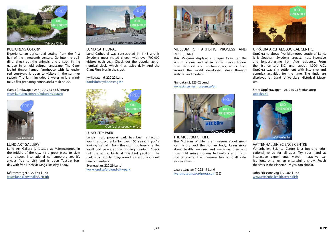

# KULTURENS ÖSTARP

Experience an agricultural setting from the first half of the nineteenth century. Go into the building, check out the animals, and a stroll in the garden in an old cultural landscape. The Gamlegård timber-framed farmhouse with its enclosed courtyard is open to visitors in the summer season. The farm includes a water mill, a windmill, a flax-preparing house, and a malt house.

#### Gamla lundavägen 2481-79, 275 63 Blentarp [www.kulturen.com/en/kulturens-ostarp](https://www.kulturen.com/en/kulturens-ostarp/)

## LUND ART GALLERY

Lund Art Gallery is located at Mårtenstorget, in the middle of the city. It's a great place to view and discuss international contemporary art. It's always free to visit and is open Tuesday-Sunday with free lunch viewings Tuesday-Friday.

Mårtenstorget 3, 223 51 Lund [www.lundskonsthall.se/en-gb](http://www.lundskonsthall.se/en-gb/)

# LUND CATHEDRAL

Lund Cathedral was consecrated in 1145 and is Sweden's most visited church with over 700,000 visitors each year. Check out the popular astronomical clock, which rings twice daily. And the Giant Finn lives in the crypt.

Kyrkogatan 6, 222 22 Lund [lundsdomkyrka.se/english](http://lundsdomkyrka.se/english/)

# LUND CITY PARK

Lund's most popular park has been attracting young and old alike for over 100 years. If you're looking for calm from the storm of busy city life, you'll find peace at the rippling fountain. Check out the exotic birds at the bird pavilion. The park is a popular playground for your youngest family members.

Svanegatan, 222 29 Lund [www.lund.se/en/lund-city-park](https://www.lund.se/en/culture--leisure/sports-and-outdoors/excursions-out-and-about/lund-city-park/)

# MUSEUM OF ARTISTIC PROCESS AND PUBLIC ART

This Museum displays a unique focus on the artistic process and art in public spaces. Follow how historical and contemporary artists from around the world developed ideas through sketches and models.

Finngatan 2, 223 62 Lund [www.skissernasmuseum.se/en](https://www.skissernasmuseum.se/en/)

#### THE MUSEUM OF LIFE

The Museum of Life is a museum about medical history and the human body. Learn more about health, wellness and medicine, then and now, told using modern technology and historical artefacts. The museum has a small café, shop and wi-fi.

Lasarettsgatan 7, 222 41 Lund [livetsmuseum.wordpress.com](https://livetsmuseum.wordpress.com/) (SE)



# UPPÅKRA ARCHAEOLOGICAL CENTRE

Uppåkra is about five kilometres south of Lund. It is Southern Sweden's largest, most inventive and longest-lasting Iron Age residency. From the 1st century B.C. until about 1,000 A.C., Uppåkra was city settlement with intensive and complex activities for the time. The finds are displayed at Lund University's Historical Museum.

Stora Uppåkravägen 101, 245 93 Staffanstorp [uppakra.se](http://uppakra.se/?lang=en#)

## VATTENHALLEN SCIENCE CENTRE

Vattenhallen Science Centre is a fun and educational venue for all ages. Try your hand at interactive experiments, watch interactive exhibitions, or enjoy an entertaining show. Reach the stars in the Planetarium you can almost.

John Ericssons väg 1, 22363 Lund [www.vattenhallen.lth.se/english](http://www.vattenhallen.lth.se/english)











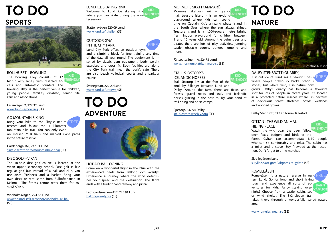









# LUND ICE SKATING RINK

Welcome to Lund ice skating rink where you can skate during the win-**FRIENDLY** ter season.

Stattenavägen 220 09 Lund [www.lund.se/ishallen](https://www.lund.se/uppleva--gora/idrott-motion-och-friluftsliv/ishallen) (SE)

# OUTDOOR GYM IN THE CITY PARK

Lund City Park offers an outdoor gym

and a climbing block for free training any time of the day, all year round. The equipment is inspired by classic gym equipment, body weight the City Park trail, near the park's café. There are also beach volleyball courts and a parkour course.

Svanegatan, 222 29 Lund [www.lund.se/utegym](https://www.lund.se/uppleva--gora/idrott-motion-och-friluftsliv/spontanidrott/utegym) (SE)

## HOT AIR-BALLOONING

Bring your bike to the Skrylle nature reserve and follow the 11-kilometer mountain bike trail. You can only cycle on marked MTB trails and marked cycle paths in the nature reserve.

> Come on a wonderful flight in the blue with the experienced pilots from Ballong och äventyr. Experience a journey where the wind determines your speed and the destination. The flight ends with a traditional ceremony and picnic.

Ladugårdsmarken 412, 225 91 Lund [ballongaventyr.se](http://ballongaventyr.se/) (SE)



BOLLHUSET – BOWLING The bowling alley consists of 12 high-quality lanes, with disabled access and automatic counters. The



bowling alley is the perfect venue for children, young people, families, disabled, senior citizens and associations.

Fasanvägen 2, 227 32 Lund [www.lund.se/bowling](https://www.lund.se/uppleva--gora/idrott-motion-och-friluftsliv/bowling) (SE)

#### GO MOUNTAIN BIKING

Hardeberga 161, 247 91 Lund [skrylle.se/att-gora/mountainbike-spar](http://skrylle.se/att-gora/mountainbike-spar/) (SE)

## DISC GOLF - VIPAN

Watch the wild boar, the deer, fallow deer, foxes, badgers and birds of the

The 18-hole disc golf course is located at the Vipan upper secondary school. Disc golf is like regular golf but instead of a ball and club, you use discs (Frisbees) and a basket. Bring your own discs or rent some from Bulltoftabanan in Malmö. The fitness centre rents them for 30- 40 SEK/disc.

Vipeholmsvägen, 224 66 Lund [www.spinndiscfk.se/banor/vipeholm-18-hal](http://www.spinndiscfk.se/banor/vipeholm-18-hal)  (SE)

# MORMORS SKATTKAMMARÖ

Mormors Skattkammarö – grandma's treasure island – is an exciting **ERIENDLY** playground where kids can spend

**KID** 

time on Captain Kid's amazing pirate island in **SPORTS NATURE** the South Seas where the sun always shines. Treasure island is a 1,000-square metre bright, fresh indoor playground for children between 1 and 12 years old. Among the palm trees and pirates there are lots of play activities, jumping castle, obstacle course, bungee jumping and more.

> Fältspatsvägen 1A, 22478 Lund [www.mormorsskattkammaro.se](https://www.mormorsskattkammaro.se/) (SE)

# STALL SJÖSTORP'S ICELANDIC HORSES



Stall Sjöstorp lies at the foot of the knoll by Billebjer between Lund and Dalby. Around the farm there are fields and forests, gravel roads and trail, and Icelandic horses grazing in the pasture. Try your hand at trail riding and horse camps.

Sjöstorp, 247 94 Dalby [stallsjostorp.weebly.com](http://stallsjostorp.weebly.com/) (SE)

# DALBY STENBROTT (QUARRY)

Just outside of Lund lies a beautiful oasis where people previously broke precious stones, but where wild, lush nature now

grows. Dalby's quarry has become a favourite spot for lots of people in recent years. It's located in a protected nature reserve where 36 hectares of deciduous forest stretches across wetlands and wooded groves.

Dalby Stenbrott, 247 95 Torna-Hällestad

# GYLTAN - THE WILD ANIMAL

## HIDING PLACE

forest. Gyltan can accommodate 8-10 people who can sit comfortably and relax. The cabin has a toilet and a stove. Buy firewood at the reception. Don't forget to bring matches.

# Skryllegården Lund

[skrylle.se/att-gora/viltgomslet-gyltan](http://skrylle.se/att-gora/viltgomslet-gyltan) (SE)

# ROMELEÅSEN

Romeleåsen is a nature reserve in eastern Lund. Go for long and short hiking tours, and experience all sorts of ad-BARN ventures for kids. Fancy staying over-VÄNLIGT night? Choose from a castle, cabin, spa or wind shelter. The Skåneleden trail takes hikers through a wonderfully varied nature area.

[www.romeleslingan.se](http://www.romeleslingan.se/public_htlm/Valkommen.html) (SE)

# **ADVENTURE TO DO**



# <span id="page-4-0"></span>**TO DO**



# **TO DO**

CAsss exercises and cross fit. Both facilities are along www.mormorsskattkammaro.se (SE) exercises and cross fit. Both facilities are along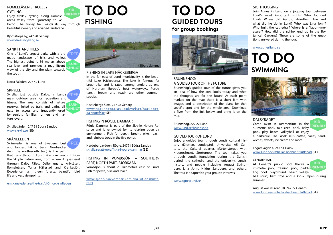# FISHING IN LAKE HÄCKEBERGA

In the far east of Lund municipality is the beautiful Lake Häckeberga. The lake is famous for large pike and is rated among anglers as one of Northern Europe's best waterways. Perch, tench, breem and roach are other common species.

Häckeberga Slott, 247 98 Genarp

[www.hackeberga.se/upplevelser/hackeber](http://www.hackeberga.se/upplevelser/hackeberga-sportfiske)[ga-sportfiske](http://www.hackeberga.se/upplevelser/hackeberga-sportfiske) (SE)

## FISHING IN RÖGLE DAMMAR

# <span id="page-5-0"></span>ROMELEÅSEN'S TROLLEY CYCLING

Rögle Dammar is part of the Skrylle Nature Reserve and is renowned for its relaxing open air environment. Fish for perch, breem, pike, roach and rainbow trout in the five ponds.

RIENDLY Enjoy trolley cycling along Romeleåsens valley from Björnstorp to Veberöd. The trolley trail winds its way through beautiful scenery and a varied landscape.

> Hardebergavägen, Rögle, 24791 Södra Sandby [skrylle.se/att-gora/fiska-i-rogle-dammar](http://skrylle.se/att-gora/fiska-i-rogle-dammar) (SE)

One of Lund's largest parks with a dra-**FREE** matic landscape of hills and valleys. The highest point is 86 meters above **BARN** sea level and provides a magnificent **ÄNLIGT** view of the city and the plain towards the south.

> FISHING IN VOMBSJÖN – SOUTHERN PART, NORTH PART, BJÖRKAÅN Vombsjön is about 20 kilometres east of Lund.

Fish for perch, pike and roach.

Skrylle, just outside Dalby, is Lund's FREE main outdoor area for recreation and fitness. The area consists of nature reserves linked by trails and paths, all easy to access and frequently used by seniors, families, runners and nature lovers.

> [www.sjobo.nu/vombfiske/sidor/utlanskinfo.](http://www.sjobo.nu/vombfiske/sidor/utlanskinfo.html ) [html](http://www.sjobo.nu/vombfiske/sidor/utlanskinfo.html )

Skåneleden is one of Sweden's best and longest hiking trails. Nord-sydleden (the north-south trail) is the path

Björnstorps by, 247 98 Genarp www.dressincykling.se

# SANKT HANS' HILLS

Norra Fäladen, 226 49 Lund

#### SKRYLLE

Skryllegården, 247 91 Södra Sandby [www.skrylle.se](http://www.skrylle.se) (SE)

#### SKÅNELEDEN

**KID** Come swim in summertime in the **RIENDLY** 50-metre pool, mid-sized pool, baby pool, play beach volleyball or enjoy a barbecue. The kiosk sells coffee, cakes, sandwiches, sweets, ice cream and more.

that runs through Lund. You can reach it from the Skrylle nature area, from where it goes east through Dalby Fälad, Dalby quarry, Knivsåsen, Romeleåsen, Torna Hällestad and Krankesjön. Experience lush green forests, beautiful bird life and vast viewpoints.

[en.skaneleden.se/the-trail/sl-2-nord-sydleden](http://en.skaneleden.se/the-trail/sl-2-nord-sydleden)

# BRUNNSHÖG: A GUIDED TOUR OF THE FUTURE

Brunnshög's guided tour of the future gives you an idea of how the area looks today and what the thoughts are for the future. At each point marked on the map there is a short film with images and a description of the plans for that specific spot and for the whole area. Download a flyer from the link below and bring it on the tour.

Brunnshög, 222 22 Lund [www.lund.se/brunnshog](https://www.lund.se/brunnshog/english/the-future-brunnshog/lund---an-evolving-city-film/)

#### GUIDED TOUR OF LUND

Enjoy a guided tour through Lund's cultural history (Drotten, Lundagård, University, AF, Culture, the Cultural quarter, Mårtenstorget with Krognoshuset, Stortorget). The tour takes you through Lund's foundation during the Danish period, the cathedral and the university, Lund's history, and people including August Strindberg, Lina Jonn, Hildur Sandberg, and others. The tour is adapted to your group's interests.

[www.agnesilund.se](http://www.agnesilund.se/guided-tours/)



**KID** 

# **SIGHTJOGGING**

Join Agnes in Lund on a jogging tour between Lund's most important sights. Who founded Lund? Where did August Strindberg live and what did he do in Lund? Who was Lina Jonn? Who built the cathedral? Where is a "lagom-measure"? How did the sphinx end up in the Botanical Gardens? These are some of the questions answered during the tour.

[www.agnesilund.se](http://www.agnesilund.se/sightjogging-2/)

## DALBYBADET

Lögarevägen 4, 247 51 Dalby [www.lund.se/simhallar-badhus-friluftsbad](https://www.lund.se/uppleva--gora/idrott-motion-och-friluftsliv/simhallar-badhus-friluftsbad) (SE)

#### GENARPSBADET

At Genarp's public pool there's a 25-metre pool, training pool, padd-FRIENDLY ling pool, playground, beach volley-

**KID** 

ball court, bath toys and a kiosk. Open during summer.

August Wallins road 18, 247 72 Genarp [www.lund.se/simhallar-badhus-friluftsbad](https://www.lund.se/uppleva--gora/idrott-motion-och-friluftsliv/simhallar-badhus-friluftsbad) (SE)







# **SWIMMING TO DO**

# **GUIDED TOURS for group bookings TO DO**

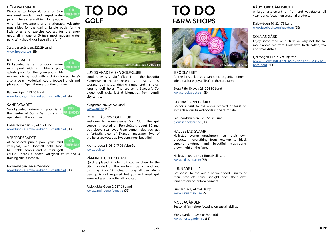#### <span id="page-6-0"></span>HÖGEVALLSBADET

Welcome to Högevall, one of Skåne's most modern and largest water parks. There's everything for people

who like excitement and challenges. Adventurous slides for the daring, jungle pools for the little ones and exercise courses for the energetic, all in one of Skåne's most modern water park. Why should kids have all the fun?

Stadsparksgången, 222 29 Lund [www.hogevall.se](http://www.hogevall.se/) (SE)

#### KÄLLBYBADET

KID Sandbybadet swimming pool is in the centre of Södra Sandby and is FRIENDLY open during the summer.

Källbybadet is an outdoor swim-**FRIENDLY** ming pool with a children's pool, splash pool for the youngest child-

**KID** At Veberöd's public pool you'll find volleyball, mini football field, foot-FRIENDLY ball, table tennis and a mini golf course. There's a beach volleyball court and a training circuit close by.

ren and diving pool with a diving tower. There's also a beach volleyball court, football pitch and playground. Open throughout the summer.

Badarevägen, 222 26 Lund [www.lund.se/simhallar-badhus-friluftsbad](https://www.lund.se/uppleva--gora/idrott-motion-och-friluftsliv/simhallar-badhus-friluftsbad) (SE)

#### SANDBYBADET

Hällestadsvägen 16, 24732 Lund [www.lund.se/simhallar-badhus-friluftsbad](https://www.lund.se/uppleva--gora/idrott-motion-och-friluftsliv/simhallar-badhus-friluftsbad) (SE)

#### VEBERÖDSBADET

Näckrosvägen, 247 62 Veberöd [www.lund.se/simhallar-badhus-friluftsbad](https://www.lund.se/uppleva--gora/idrott-motion-och-friluftsliv/simhallar-badhus-friluftsbad) (SE)

#### LUNDS AKADEMISKA GOLFKLUBB

Lund University Golf Club is in the beautiful Kungsmarken nature reserve and has a restaurant, golf shop, driving range and 18 challenging golf holes. The course is Sweden's 7th oldest golf club, just 6 kilometres from Lund's city centre.

Kungsmarken, 225 92 Lund [www.lagk.se](http://www.lagk.se/) (SE)

#### ROMELEÅSEN'S GOLF CLUB

Welcome to Romeleåsen's Golf Club. The golf course is located on Romeleåsen, about 80 metres above sea level. From some holes you get a fantastic view of Skåne's landscape. Two of the holes are voted as Sweden's most beautiful.

Kvarnbrodda 1191, 247 96 Veberöd [www.ragk.se](http://www.ragk.se/sv/gaster-guests/english)

#### VÄRPINGE GOLF COURSE

Quickly played 9-hole golf course close to the city. Located on the western side of Lund you can play 9 or 18 holes, or play all day. Membership is not required but you will need golf knowledge and an official handicap.

Fackklubbsvägen 2, 227 63 Lund [www.varpingegolfbana.se](http://www.varpingegolfbana.se/) (SE)

'BRÖDLABBET

At the bread lab you can shop organic, homemade bread or enjoy a "fika" on the cute farm.

Stora Råby Byaväg 28, 224 80 Lund [www.brodlabbet.se](http://www.brodlabbet.se) (SE)

#### GLORIAS ÄPPELGÅRD

Go for a visit to the apple orchard or feast on some delicious baked goods in the farm café.

Ladugårdsmarken 551, 22591 Lund [gloriasappelgard.se](http://gloriasappelgard.se/) (SE)

#### HÄLLESTAD SVAMP

Hällestad svamp (mushroom) sell their own products - everything from ketchup to black currant chutney and beautiful mushrooms grown right on the farm.

Hällestad 402, 247 95 Torna Hällestad [www.hallestad.com](http://www.hallestad.com) (SE)

#### LUNNARP HILLS

Get closer to the origin of your food - many of their products come straight from their own farm or from other local farmers.

Lunnarp 321, 247 94 Dalby [www.lunnarpshill.se](http://www.lunnarpshill.se) (SE)

#### MOSSAGÅRDEN Seasonal farm shop focusing on sustainability.

Mossagården 1, 247 64 Veberöd [www.mossagarden.se](http://www.mossagarden.se) (SE)



**KID** FRIENDLY

**KID** 

# RÅBYTORP GÅRDSBUTIK

A large assortment of fruit and vegetables all year round, focusin on seasonal produce.

Dalbyvägen 90, 224 78 Lund [www.facebook.com/rabytorp](http://www.facebook.com/rabytorp) (SE)

# SOLNÄS GÅRD

Enjoy some food or a "fika", or why not the famour apple pie from Kivik with fresh coffee, tea and small dishes.

#### Fjelievägen 112, 237 91 Bjärred

[www.kiviksmusteri.se/sv/besoek-oss/sol-](http://www.kiviksmusteri.se/sv/besoek-oss/solnaes-gard)



# **TO DO GOLF**



# **TO DO FARM SHOPS**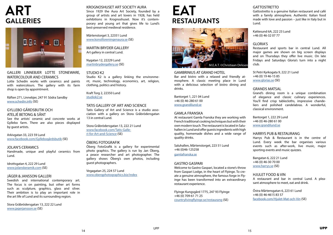GALLERI LINNEBJER LOTTE STONEWARE, WATERCOLOUR AND CERAMICS

Lotte Schedin works with ceramics and paints with watercolours. The gallery with its farm shop is open by appointment.

Räften 271, Linnebjer, 247 91 Södra Sandby [www.schedin.info](http://www.schedin.info/) (SE)

# GYLLEBO GÅRDSBUTIK OCH ATELJÉ BETONG & SÅNT

See the artists' ceramic and concrete works at Gyllebo farm. There are also pieces displayed by guest artists.

Arkivgatan 33, 223 59 Lund [www.facebook.com/Gyllebogårdsbutik](https://www.facebook.com/Gyllebo-g%C3%A5rdsbutik-426122271081088/) (SE)

## JOLAN'S CERAMICS

Handmade, unique and playful ceramics from Lund.

Idrottsgatan 4, 222 29 Lund [www.jolanskeramik.com](http://www.jolanskeramik.com/) (SE)

# JÄGER & JANSSON GALLERI

Swedish and international contemporary art. The focus is on painting, but other art forms such as sculpture, graphics, glass and silver. Their ambition is to play an important role in the art life of Lund and its surrounding region.

Stora Gråbrödersgatan 13, 222 22 Lund [www.jagerjansson.se](http://www.jagerjansson.se/) (SE)

#### KROGNOSHUSET ART SOCIETY AURA

Since 1929 the Aura Art Society, founded by a group of artists and art lovers in 1928, has held exhibitions in Krognoshuset. Now it's contemporary and young art that gives life to Lund's best-preserved medieval residence.

Mårtenstorget 3, 22351 Lund [www.konstforeningenaura.se](http://www.konstforeningenaura.se ) (SE)

MARTIN BRYDER GALLERY Art gallery in central Lund.

Nygatan 12, 22229 Lund [martinbrydergallery.se](http://martinbrydergallery.se/) (SE)

# STUDIO K2

Studio K2 is a gallery linking the environment, music, technology, economics, art, religion, clothing, politics and history.

Kraft Torg 2, 22350 Lund [studiok2.se](http://studiok2.se )

# TATIS GALLERY OF ART AND SCIENCE

Tatis Gallery of Art and Science is a studio association with a gallery on Stora Gråbrödersgatan 13 in central Lund.

Stora Gråbrödersgatan 13, 222 21 Lund [www.facebook.com/Tatis-Galle](https://www.facebook.com/Tatis-Galleri-for-Art-and-Science-868196043193488)[ri-for-Art-and-Science](https://www.facebook.com/Tatis-Galleri-for-Art-and-Science-868196043193488) (SE)

# ÖBERG FOTOGRAFIK

Öberg FotoGrafik is a gallery for experimental photo graphics. The gallery is run by Jan Öberg, a peace researcher and art photographer. The gallery shows Öberg's own photos, including guest photographers.

Vegagatan 25, 224 57 Lund [www.obergphotographics.biz/index](http://www.obergphotographics.biz/index )

#### GAMBRINIUS AT GRAND HOTEL

Bar and bistro with a relaxed and friendly atmosphere. A classic meeting place in Lund with a delicious selection of bistro dining and drinks.

Bantorget 1, 221 04 Lund +46 (0) 46-280 61 00 [www.grandilund.se](http://www.grandilund.se/default-en.html)

#### GAMLA FRANSKA

At restaurant Gamla Franska they are working with French traditional cooking techniques but with their own modern touch. The restaurant is located in Saluhallen in Lund and offer guests ingredients with high quality, homemade dishes and a wide range of quality drinks.

Saluhallen, Mårtenstorget, 223 51 Lund +46 (0)46-125258 [gamlafranska.se](http://gamlafranska.se )

## GASTRO GASPARI

Welcome to Gastro Gaspari, located a stone's throw from Gaspari Lodge, in the heart of Flyinge. To create a genuine atmosphere, the famous forge in Flyinge has been transformed into an extraordinary restaurant experience.

Flyinge Kungsgård 1775, 247 93 Flyinge +46 (0) 709-61 71 25 [countrylivingflyinge.se/restaurang](http://countrylivingflyinge.se/restaurang/) (SE)

# **GATTOSTRETTO**

Gattostretto is a genuine Italian restaurant and café with a family atmosphere. Authentic Italian food made with love and passion – just like in Italy but in Lund.

Kattesund 6A, 222 23 Lund +46 (0) 46-32 07 77

## GLORIA'S

Restaurant and sports bar in central Lund. All major games are shown on big screen displays and on Thursdays they offer live music. On late Fridays and Saturdays Gloria's turn into a night club.

St Petri Kyrkogata 9, 222 21 Lund +46 (0) 19 46-15 85 [www.glorias.se](http://www.glorias.se/start.html) (SE)

#### GRANDS MATSAL

Grand's dining room is a unique combination of elegance and classic culinary experiences. You'll find crisp tablecloths, impressive chandeliers and polished candelabras. A wonderful, classical environment.

Bantorget 1, 222 29 Lund +46 (0) 46-280 61 00 www.grandilund.se

#### HARRYS PUB & RESTAURANG

Harrys Pub & Restaurant is in the centre of Lund. Every week the bar organises various events such as after-work, live music, major sporting events and music quizzes.

Bangatan 6, 222 21 Lund +46 (0) 46-30 70 00 [www.harrys.se](https://www.harrys.se/restauranger/lund/) (SE)

# HJULET FOOD & VIN

A restaurant and bar in central Lund. A pleasant atmosphere to meet, eat and drink.

Östra Mårtensgatan 6, 223 61 Lund +46 (0) 46-4615 83 57 [facebook.com/Hjulet-Mat-och-Vin](https://www.facebook.com/Hjulet-Mat-och-Vin-1693646250921841/) (SE)



# <span id="page-7-0"></span>**ART GALLERIES**



# **EAT RESTAURANTS**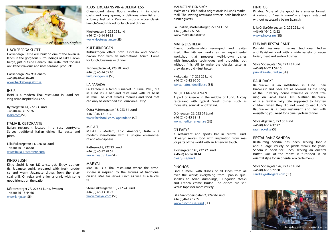# HÄCKEBERGA SLOTT

Häckeberga Castle was built on one of the seven islands in the gorgeous surroundings of Lake Häckeberga, just outside Genarp. The restaurant focuses on Skåne's flavours and uses seasonal products.

Häckeberga, 247 98 Genarp +46 (0) 40-48 04 40 [www.hackebergaslott.se](http://www.hackebergaslott.se/en/home)

## IHSIRI

Ihsiri is a modern Thai restaurant in Lund serving Asian inspired cuisine.

Bytaregatan 14, 222 23 Lund +46 (0) 46-30 77 26 [ihsiri.com](http://ihsiri.com/) (SE)

## ITALIA IL RISTORANTE

Italian restaurant located in a cosy courtyard. Serves traditional Italian dishes like pasta and pizza.

Lilla Fiskaregatan 11, 226 48 Lund +46 (0) 46-14 80 80 [www.italia-ilristorante.com](https://www.italia-ilristorante.com/pizzeriaeng)

## KINJO SUSHI

Kinjo Sushi is on Mårtenstorget. Enjoy authentic Japanese sushi, prepared with fresh produce and warm Japanese dishes from the charcoal grill. Or relax and enjoy a drink with some good friends on the patio.

Mårtenstorget 7A, 223 51 Lund, Sweden +46 (0) 46-18 44 66 [www.kinjo.se](https://www.kinjo.se/) (SE)

#### KLOSTERGATANS VIN & DELIKATESS

Chess-board stone floors, waiters in in chef's coats and long aprons, a delicious wine list and a lovely feel of a Parisian bistro – enjoy classic French-Swedish food for lunch and dinner.

Klostergatan 3, 222 22 Lund +46 (0) 46-14 14 83 [www.klostergatan.se](https://www.klostergatan.se/) (SE)

# **KULTURKROGEN**

Kulturkrogen offers both espresso and Scandinavian food with an international touch. Come for lunch, business or dinner.

Tegnérsplatsen 4, 223 50 Lund +46 (0) 46-14 65 10 [kulturkrogen.se](http://kulturkrogen.se/) (SE)

# LA PARADA

La Parada is a famous market in Lima, Peru, but in Lund it's a bar and restaurant with its heart in Peru. The chef creates menues and food that can only be described as "Peruvian & Tasty".

Östra Mårtensgatan 15, 223 61 Lund +46 (0)46-12 33 30 [www.facebook.com/laparada.se](https://www.facebook.com/laparada.se/) (SE)

#### M.E.A.T.

M.E.A.T. - Modern, Epic, American, Taste – a modern steakhouse with a unique environment and atmosphere.

Kattesund 8, 222 23 Lund +46 (0) 46-12 78 65 [www.meatgrill.se](https://www.meatgrill.se/) (SE)

## MAE YAI

Mae Yai is a Thai restaurant where the atmosphere is inspired by the aromas of traditional cuisine. Mae Yai serves lunch as well as á la carte.

Stora Fiskaregatan 15, 222 24 Lund +46 (0) 46-13 00 93 [www.maeyai.com](https://www.maeyai.com/) (SE)

#### MALMSTENS FISK & KÖK

Malmstens Fisk & Kök a bright oasis in Lunds markethall. The inviting resturant attracts both lunch and dinner guests

Saluhallen, Mårtenstorget, 223 51 Lund +46 (0)46-12 63 54 www.malmstensfisk.se



#### MAT & DESTILLAT

Classic craftsmanship revamped and revitalized. The kitchen works as an experimental workshop that prepares well-known dishes with innovative techniques and thoughts, but without frills. All to make the classics taste as they always did – just better.

Kyrkogatan 17, 222 22 Lund +46 (0) 46-12 80 00 [www.matochdestillat.se](https://www.matochdestillat.se/) (SE)

#### **MEDITERRANEANAN**

A part of Greece in the middle of Lund. A cosy restaurant with typical Greek dishes such as moussaka, souvlaki and tzatsiki.

Grönegatan 2B, 222 24 Lund +46 (0) 46-15 88 41 [www.mediterranean.se](http://www.mediterranean.se/) (SE)

## O'LEARYS

A restaurant and sports bar in central Lund. O'Learys' serves food with inspiration from major parts of the world with an American touch.

Klostergatan 14B, 222 22 Lund + 46 (0) 46-14 10 14 [olearys.se/lund](https://olearys.se/en-us/lund/)

#### **PINCHOS**

Find a menu with dishes of all kinds from all over the world; everything from Spanish quesadillas to Asian dumplings, Hungarian steaks and French crème brûlée. The dishes are served as tapas for more variety.

Lilla Gråbrödersgatan 2, 224 56 Lund +46 (0)46-12 12 22 [www.pinchos.se/lund](http://www.pinchos.se/lund/) (SE)

# PINXTOS

Pinxtos. More of the good, in a smaller format. A variant of "less is more" – a tapas restaurant without necessarily being Spanish.

Lilla Gråbrödersgatan 2, 222 22 Lund +46 (0) 46-12 12 22 [www.pintxos.nu](http://www.pintxos.nu/Home/Landingpage) (SE)

#### PUNJABI RESTAURANT

Punjabi Restaurant serves traditional Indian and Pakistani food with a wide variety of vegetarian, meat and seafood dishes.

Stora Södergatan 59, 222 23 Lund +46 (0) 46-211 54 15 [punjabirestaurant.se](http://punjabirestaurant.se/) (SE)

## RAUHRACKEL

Rauhrackel is an institution in Lund. Their bratwurst and beer are as obvious as the song at the university house staircase or sprint training on Sankt Hans Hills. Austrian Rauhrackel is a familiar fairy tale supposed to frighten children when they did not want to eat. Lund's Rauhrackel is a cosy restaurant and bar with everything you need for a true Tyrolean dinner.

Stora Algatan 5, 223 50 Lund +46 (0) 46-14 37 27 [rauhrackel.se](https://rauhrackel.se/) (SE)

#### RESTAURANG SANDRA

Restaurang Sandra has been serving fondue and a large variety of plank steaks for years. Sandra is open for lunch, serving an oriental buffet. One of the rooms is furnished in an oriental style for an oriental à la carte menu.

Stora Södergatan 42, 222 23 Lund +46 (0) 46-15 72 00 [sandra.gastrogate.com](http://sandra.gastrogate.com ) (SE)

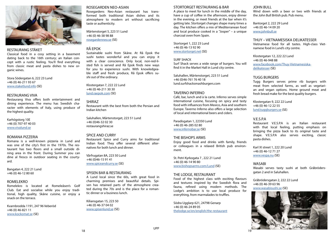# RESTAURANG STÄKET

Classical food in a cosy setting in a basement dating back to the 16th century; an Italian concept with a rustic feeling. You'll find everything from classic meat and pasta dishes to new organic wines.

Stora Södergatan 6, 222 23 Lund +46 (0) 46-211 93 67 [www.staketlund.info](http://www.staketlund.info/) (SE)

#### RESTAURANG VIVA

Restaurang Viva offers both entertainment and dining experience. The menu has Swedish character with elements of Italy, using produce of the highest quality.

Karhögstorg 10E +46 (0) 707-97 40 03 [www.vivalund.se](http://vivalund.se/)

#### ROMANA PIZZERIA

Romana is a well-known pizzeria in Lund and was one of the city's first in the 1970s. The restaurant has two floors and a small outside dining area in the front. During Summer you can dine al fresco in outdoor seating in the courtyard.

Bangatan 4, 222 21 Lund +46 (0) 46-12 80 60

#### ROMELEKRO

Romelekro is located at Romeleåsen's Golf Club. Eat and socialise while you enjoy traditional, high quality, Skåne cuisine, or enjoy a snack on the terrace.

Kvarnbrodda 1191, 247 96 Veberöd +46 (0) 46-821 11 [www.kockomat.se](http://www.kockomat.se/) (SE)

#### ROSEGARDEN NEO-ASIAN

Rosegardens Neo-Asian restaurant has transformed both traditional Asian dishes and its atmosphere to modern art without sacrificing taste or authenticity.

Mårtenstorget 5, 223 51 Lund +46 (0) 46-38 98 88 [rosegardenneo.se](https://rosegarden.se/find-us?restaurant=57106f17ad4f21090090d472) (SE)

## RÅ EPOK

Sustainable sushi from Skåne. At Rå Epok the sushi tastes wonderful and you can enjoy it with a clear conscience. Only local, non-red-listed fish is served and Rå Epok finds new ways for you to experience sushi. With knowledgeable staff and fresh produce, Rå Epok offers sushi out of the ordinary.

Klostergatan 7, 222 22 Lund +46 (0) 46-211 30 30 [lund.raepok.com](https://lund.raepok.com/) (SE)

SHIRAZ Restaurant with the best from both the Persian and Indian kitchen

Saluhallen, Mårtenstorget, 223 51 Lund +46 (0)46-32 02 30 restaurangshiraz.se

#### SPICE AND CURRY

Restaurant Spice and Curry aims for traditional Indian food. They offer several different alternatives for both lunch and dinner.

Vårfrugatan 8A, 223 50 Lund +46 (0)46-15 91 41 www.spiceandcurry.se (SE)

#### SPISEN BAR & RESTAURANG

Tugg Burgers serves prime rib burgers with meat from selected farms, as well as vegetarian and vegan options. Home ground meat and fresh bread make for the best quality burgers.

A Lund local since the 60s, with great food in charming premises and beautiful details. Spisen has retained parts of the atmosphere created during the 70s and is the place for a romantic dinner or a business lunch.

Kiliansgatan 15, 223 50 +46 (0) 46-37 04 02 [www.spisenlund.se](http://www.spisenlund.se/) (SE)

#### STORTORGET RESTAURANG & BAR



A place to meet for lunch in the middle of the day, have a cup of coffee in the afternoon, enjoy dinner in the evening, or meet friends at the bar when it's getting late. Stortorget changes shape many times a day. The kitchen offers a mix of Mediterranean food and local produce cooked in a "Josper" – a unique charcoal oven from Spain.

Stortorget 1, 222 23 Lund +46 (0) 46-13 92 90 [www.stortorget.net](http://www.stortorget.net/) (SE)

#### SURF SHACK

Surf Shack serves a wide range of burgers. You will find it in the Market Hall in Lund city centre.

Saluhallen, Mårtenstorget, 223 51 Lund +46 (0)46-761 76 40 18 lund.surfshacksmashburgers.com

## TAVERNO INFERNO

Café, bar, lunch and à la carte. Inferno serves simple international cuisine, focusing on spicy and tasty food with influences from Mexico, Asia and southern Europe. Taverno Inferno also offers a large selection of local and international beers and ciders.

Paradisgatan 1, 22350 Lund +46 (0) 46-285 02 80 [www.infernobar.se](http://www.infernobar.se/) (SE)

#### THE BISHOPS ARMS

Enjoy good food and drinks with family, friends or colleagues in a relaxed British pub environment.

St. Petri Kyrkogata 7 , 222 21 Lund +46 (0) 46-14 90 80 [www.bishopsarms.com/Lund](http://www.bishopsarms.com/Lund_(Hotel_Bishops_Arms)) (SE)

## THE LODGE, RESTAURANT

Food of the highest class with exciting flavours and textures inspired by the Swedish flora and fauna, refined using modern methods. The Lodge's ambition is to use local produce for everything, from marmalades to truffles.

Södra Ugglarp 621, 24798 Genarp +46 (0) 46-24 89 05 [thelodge.se/en/english/the-restaurant](http://thelodge.se/en/english/the-restaurant)

# JOHN BULL

Wind down with a beer or two with friends at the John Bull British pub. Pub menu.

Bantorget 2, 222 29 Lund +46 (0) 46-14 09 20 [www.johnbull.se](http://www.johnbull.se/)

#### THUY – VIETNAMESISKA DELIKATESSER

Vietnamese food for all tastes. High-class Vietnamese food in Lund's city centre.

Klostergatan 12, 222 22 Lund +46 (0) 46-948 88 [www.facebook.com/Thuy-Vietnamesiska](https://www.facebook.com/Thuy-Vietnamesiska-delikatesser-417244171965557/)[delikatesser](https://www.facebook.com/Thuy-Vietnamesiska-delikatesser-417244171965557/) (SE)

#### TUGG BURGERS

Klostergatan 9, 222 22 Lund +46 (0) 46-12 22 55 [lund.tuggburgers.se](http://lund.tuggburgers.se) (SE)

# V.E.S.P.A

Restaurant V.E.S.P.A is an Italian restaurant with that local feeling, putting emphasis on bringing the pizza back to its original taste and shape. V.E.S.P.A also serves exciting, classic pasta dishes.

Karl XI street 1, 222 20 Lund +46 (0) 46-12 71 27 [www.vespa.nu](https://www.vespa.nu/) (SE)

#### WASABI

Wasabi serves tasty sushi at both Gråbrödersgatan 2 and in Saluhallen.

Gråbrödersgatan 2, 222 22 Lund +46 (0) 46-39 63 96 [www.wasabisushi.se](https://www.wasabisushi.se/) (SE)

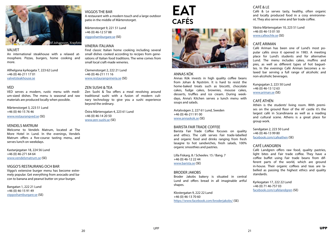#### VALVET

An international steakhouse with a relaxed atmosphere. Pizzas, burgers, home cooking and more.

Allhelgona kyrkogata 7, 223 62 Lund +46 (0) 46-211 17 01 [valvetsteakhouse.se](http://valvetsteakhouse.se/)

# VED

VED serves a modern, rustic menu with medium-sized dishes. The menu is seasonal and raw materials are produced locally when possible.

Mårtenstorget 3, 223 51 Lund +46 (0) 46-15 76 46 [www.restaurangved.se](https://www.restaurangved.se/) (SE)

#### VENDELS MATRUM

Welcome to Vendels Matrum, located at The More Hotel in Lund. In the evenings, Vendels Matrum offers a five-course tasting menu, and serves lunch on weekdays.

Kastanjegatan 18, 224 56 Lund +46 (0) 46-271 64 64 [www.vendelsmatrum.se](https://www.vendelsmatrum.se/) (SE)

## VIGGO'S RESTAURANG OCH BAR

Viggo's extensive burger menu has become extremely popular. Get everything from avocado and bacon to banana and peanut butter on your burger.

Bangatan 1, 222 21 Lund +46 (0) 46-15 91 49 [viggoshamburgare.se](http://viggoshamburgare.se/) (SE)

# VIGGOS THE BAR

A restaurant with a modern touch and a large outdoor patio in the middle of Mårtenstorget.

Mårtenstorget 9, 221 51 Lund +46 (0) 46-12 57 88 [viggoshamburgare.se](http://viggoshamburgare.se/) (SE)

# VINERIA ITALIANA

Find classic Italian home cooking including several small dishes cooked according to recipes from generations of Italian food traditions. The wine comes from small local craft-made wineries.

Clemenstorget 2, 222 21 Lund +46 (0) 46-211 11 16 [www.restaurangvineria.se](https://www.restaurangvineria.se/) (SE)

# ZEN SUSHI & TEA

Zen Sushi & Tea offers a meal revolving around traditional sushi with a fusion of modern culinary technology to give you a sushi experience beyond the ordinary.

Östra Mårtensgatan 4, 223 61 Lund +46 (0) 46-14 20 50 [www.zen-sushi.se](https://www.zen-sushi.se/) (SE)

# ANNAS KÖK

Annas Kök invests in high quality coffee beans from Johan & Nyström. It is hard to resist the home-baked treats such as biscotti, chocolate cakes, fudge cakes, brownies, mousse cakes, desserts, truffles and ice cream. During weekdays, Anna's Kitchen serves a lunch menu with soups and salads.

Avtalsvägen 2, 227 61 Lund, Sweden +46 (0) 46-211 91 00 [www.annaskok.se](http://www.annaskok.se/) (SE)

## BARISTA FAIR TRADE COFFEE

Barista Fair Trade Coffee focuses on quality and ethics. The café serves Fair trade-labelled and organic food and drinks ranging from fresh lasagne to hot sandwiches, fresh salads, 100% organic smoothies and pastries.

Lilla Fiskarg. 8 / Scheelev. 15 / Bang. 7 +46 (0) 46-12 22 44 [www.barista.se](http://barista.se/om/var/) (SE)

## BRODER JAKOBS

Broder Jakobs bakery is situated in central Lund and offers bread in all imaginable artful shapes.

Klostergatan 9, 222 22 Lund +46 (0) 46-13 70 60 https://www.facebook.com/broderjakobs/ (SE)

# CAFÉ & LE

Café & Le serves tasty, healthy, often organic and locally produced food in a cosy environment. They also serve wine and fair trade coffee.

Västra Mårtensgatan 10, 223 51 Lund +46 (0) 46-13 01 50 [www.cafeochle.se](https://www.cafeochle.se/) (SE)

# CAFÉ ARIMAN

Café Ariman has been one of Lund's most popular cafés since it opened in 1983. A meeting place for Lund's students and for alternative Lund. The menu includes cakes, muffins and pies, as well as different types of hot baguettes. In the evenings Café Ariman becomes a relaxed bar serving a full range of alcoholic and non-alcoholic beverages.

Kungsgatan 2, 223 50 Lund +46 (0) 46-13 12 63 [www.ariman.se](http://www.ariman.se/) (SE)

# CAFÉ ATHÉN

Athén is the students' living room. With premises on the ground floor of the AF castle it's the largest café in Scandinavia as well as a reading and cultural scene. Athens is a great place for group work.

Sandgatan 2, 223 50 Lund +46 (0) 46-13 99 80 [facebook.com/cafeathen](https://www.facebook.com/cafeathen) (SE)

# CAFÉ LANDGREN

Café Landgren offers raw food, quality pastries, light bites and Fair trade coffee. They have a coffee buffet using Fair trade beans from different parts of the world, which are ground in-house. Their organic coffees and teas are labelled as passing the highest ethics and quality standards.

Kyrkogatan 17, 222 22 Lund +46 (0) 71 46-757 03 [facebook.com/cafelandgren](https://www.facebook.com/cafelandgren) (SE)



<span id="page-10-0"></span>

# **EAT CAFÉS**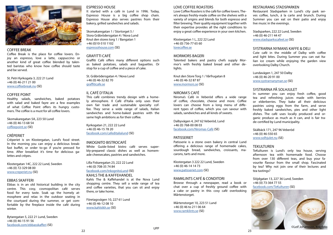#### COFFEE BREAK

Coffee Break is the place for coffee lovers. Enjoy an espresso, love a latte, cappuccino or another kind of great coffee blended by talented baristas who know how coffee should taste and be served.

St. Petri Kyrkogata 3, 222 21 Lund +46 (0) 46-211 21 00 [www.coffeebreak.nu](http://www.coffeebreak.nu/startsidan.html) (SE)

#### COFFEE POINT

Healthy salads, sandwiches, baked potatoes with salad and baked fayre are a few examples of what Coffee Point offers its hungry customers. The coffee is a must for all coffee lovers.

Skomakaregatan 5A, 223 50 Lund +46 (0) 46-13 68 54 [coffeepoint.se](http://coffeepoint.se/) (SE)

#### CRÊPERIET

Crêperiet is on Klostergatan, Lund's food street. In the morning you can enjoy a delicious breakfast buffet, or order to-go if you're pressed for time. After breakfast it's time for delicious galettes and crêpes.

Klostergatan 14C, 222 22 Lund, Sweden +46 (0) 72-329 08 00 [www.creperiet.nu](http://www.creperiet.nu/) (SE)

#### EBBAS SKAFFERI

Ebbas is in an old historical building in the city centre. This cosy, cosmopolitan café serves food for every taste. Soak up the homely atmosphere and relax in the outdoor seating in the courtyard during the summer, or get comfortable by the fireplace inside the café during winter.

Bytaregatan 5, 222 21 Lund, Sweden +46 (0) 46-15 91 56 [facebook.com/ebbasskafferi](https://www.facebook.com/ebbasskafferi) (SE)

#### ESPRESSO HOUSE

It started with a café in Lund in 1996. Today, Espresso House is a big coffee shop chain. Espresso House also serves pastries from their bakery, grilled sandwiches and salads.

Skomakaregatan 1 / Stortorget 5 / Stora Gråbrödersgatan 4 / Nova Lund Knut den stores torg 1 / Bangatan 1 +46 (0)10-510 1102 [espressohouse.com](https://espressohouse.com/) (SE)

# GRAFITTI CAFÉ

Graffiti Café offers many different options such as baked potatoes, salads and baguettes. Or stop for a cup of coffee and a piece of cake.

St. Gråbrödersgatan 4 / Nova Lund +46 (0) 46-32 82 70 [graffiticafe.se](http://graffiticafe.se/english/index.php)

# IL CAFÉ D'ITALIA

This café combines trendy design with a homely atmosphere. Il Café d'Italia only uses their own fair trade and sustainable specialty coffee. They serve a wide range of salads, Italian sandwiches and home-baked pastries with the same high ambitions as for their coffee.

Kyrkogatan 21, 222 22 Lund +46 (0) 46-15 78 20 [facebook.com/cafeditalialund](https://www.facebook.com/cafeditalialund) (SE)

#### INKOGNITO BISTROCAFÉ

White Guide-listed bistro café serves superbly-prepared classic dishes as well as homemade cheesecakes, pastries and sandwiches.

Lilla Fiskaregatan 23, 222 22 Lund +46 (0) 708-35 74 84 [facebook.com/InkognitoLund](https://www.facebook.com/InkognitoLund) (SE) KAHLS THE & KAFFEHANDEL

Kahls The & Kaffehandel is at the Nova Lund shopping centre. They sell a wide range of tea and coffee varieties, that you can sit and enjoy there, or take home.

Företagsvägen 10, 227 61 Lund +46 (0) 46-12 08 10 [www.kahlstkh.se](http://www.kahlstkh.se/) (SE)

#### LOVE COFFEE ROASTERS



Love Coffee Roasters is the café for coffee lovers. There's always freshly-made coffee on the shelves with a variety of origins and blends for both espresso and filter brewing. Their quality equipment together with their expertise provides all the right conditions to enjoy a great coffee experience in your own kitchen.

Klostergatan 1 L, 222 22 Lund +46 (0) 736-77 65 60 [lovecoffee.se](http://lovecoffee.se/)

#### MORMORS BAGERI

Talented bakers and pastry chefs supply Mormor's with freshly baked bread and other delights.

Knut den Store Torg 1 / Vårfrugatan 8 +46 (0) 46-32 87 87 [www.mormors.se](http://www.mormors.se/) (SE)

#### NIROMA'S CAFÉ

Niroma's Café in Veberöd offers a wide range of coffee, chocolate, cheese and more. Coffee lovers can choose from a long menu of different types of coffee, which you can savour with salads, sandwiches and all kinds of sweets.

Dalbyvägen 4, 247 62 Veberöd, Lund +46 (0) 768-00 08 03 [facebook.com/Niromas-Café](https://www.facebook.com/Niromas-Caf%C3%A9--113009222063769/) (SE)

#### PATISSERIET

Patisserie is a stone oven bakery in central Lund offering a delicious range of homemade cakes, sourdough bread, sandwiches, croissants, macarons, tarts and more.

Klostergatan 3 222 22 Lund, Sweden +46 (0) 46-14 14 73 [www.patisseriet.com](https://www.patisseriet.com/) (SE)

#### RAMKLINTS CAFÉ & CONDITORI

Browse through a newspaper, read a book or chat over a cup of freshly ground coffee with a cake or pastry in this cosy café overlooking Mårtenstorget.

Mårtenstorget 10, 223 51 Lund +46 (0) 46 to 211 06 64 [www.ramklints.se](http://www.ramklints.se/) (SE)

# RESTAURANG STADSPARKEN

Restaurant Stadsparken in Lund's city park serves coffee, lunch, á la carte and brunch. During Summer you can eat on their patio and enjoy live music in the evenings.

Stadsparken, 222 22 Lund, Sweden +46 (0) 46-211 44 47 [www.stadsparkscafeet.se](http://www.stadsparkscafeet.se/) (SE)

#### SYSTRARNA NYMANS KAFFE & DELI

Cute café in the middle of Dalby with coffee and light bites. During Summer you can eat Italian ice cream while enjoying the garden view overlooking Dalby Church.

Lundavägen 1, 247 50 Dalby +46 (0) 46-20 91 00 [www.systrarnanyman.se](http://www.systrarnanyman.se/) (SE)

## SYSTRARNA PÅ SOLHJULET

In summer you can enjoy fresh coffee, good tea and refreshing juices made with berries or elderberries. They bake all their delicious pastries using eggs from the farm, and serve freshly baked sandwiches, pies and other light dishes. The café uses locally produced and organic produce as much as it can, and is fair trade-certified by Lund municipality.

Skälbäck 171, 247 96 Veberöd +46 (0) 46-550 65 [www.solhjulet.nu](http://www.solhjulet.nu/) (SE)

#### TEKULTUREN

TeKulturen is Lund's only tea house, serving afternoon tea with homemade food. Choose from over 130 different teas, and buy your favourite flavour from the small shop. Fascinated by tea? Why not join one of their lectures and tea tastings?

Slöjdgatan 13, 227 36 Lund, Sweden +46 (0) 73-364 77 55 [facebook.com/TeKulturen](https://www.facebook.com/TeKulturen) (SE)

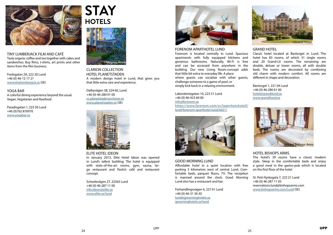<span id="page-12-0"></span>

TINY LUMBERJACK FILM AND CAFÉ Taste organic coffee and tea together with cakes and sandwiches. Buy films, t-shirts, art prints and other items from the film business.

Fredsgatan 2A, 222 20 Lund +46 (0) 46-12 17 21 [www.tinylumberjack.se](http://www.tinylumberjack.se/caf) (SE)

YOGA BAR

A colorful dining experience beyond the usual. Vegan, Vegetarian and Rawfood

Paradisgatan 1, 223 50 Lund +46 (0)762 876970 [www.yogabar.se](http://www.yogabar.se)

CLARION COLLECTION HOTEL PLANETSTADEN A modern design hotel in Lund, that gives you that little extra care and experience.

Dalbyvägen 38, 224 60, Lund +46 (0) 46-280 01 00 [cc.planetstaden@choice.se](mailto:cc.planetstaden%40choice.se?subject=) [www.planetstaden.se](http://) (SE)

ELITE HOTEL IDEON

In January 2013, Elite Hotel Ideon was opened in Lund's tallest building. The hotel is equipped with state-of-the-art rooms, gym, sauna, large restaurant and Paolo's café and restaurant concept.

Scheelevägen 27, 22363 Lund +46 (0) 46-287 11 00 [info.ideon@elite.se](mailto:info.ideon%40elite.se?subject=) [www.elite.se/lund](https://www.elite.se/en/hotels/lund/)



FORENOM APARTHOTEL LUND Forenom is located centrally in Lund. Spacious apartments with fully equipped kitchens and generous bathrooms. Naturally, Wi-Fi is free and can be accessed from anywhere in the building. Our new Living Room-concept adds that little bit extra to everyday life. A place where guests can socialize with other guests, challenge someone to a game of pool, or simply kick back in a relaxing environment.

Laboratoriegatan 10, 223 51 Lund +46 (0) 46-423 60 00 info@forenom.se https://www.forenom.com/sv/lagenhetshotell/ lund/forenom-aparthotel-lund/6021/

# GOOD MORNING LUND

Affordable hotel in a quiet location with free parking 3 kilometres west of central Lund. Comfortable beds, parquet floors, TV. The reception is manned around the clock. Good Morning Lund also has a restaurant and bar.

Förhandlingsvägen 4, 227 61 Lund +46 (0) 46-31 36 30 [lund@gmorninghotels.se](mailto:lund%40gmorninghotels.se?subject=) [gmorninghotels.se/lund](http://gmorninghotels.se/lund)

# GRAND HOTEL

Classic hotel located at Bantorget in Lund. The hotel has 83 rooms, of which 31 single rooms and 20 Grand-Lit rooms. The remaining are double, deluxe or tower rooms, all with double beds. The rooms are decorated by combining old charm with modern comfort. All rooms are different in shape and decoration.

Bantorget 1, 221 04 Lund +46 (0) 46-280 61 00 [hotel@grandilund.se](mailto:hotel%40grandilund.se?subject=) [www.grandilund.se](http://www.grandilund.se)

#### HOTEL BISHOPS ARMS

The hotel's 39 rooms have a classic modern style. Sleep in the comfortable beds and enjoy a good meal in the gastro-pub which is located on the first floor of the hotel.

St. Petri Kyrkogata 7, 222 21 Lund +46 (0) 46-287 11 05 reservations.lund@bishopsarms.com [www.bishopsarms.com/Lund](http://www.bishopsarms.com/Lund_(Hotel_Bishops_Arms)) (SE)











# **STAY HOTELS**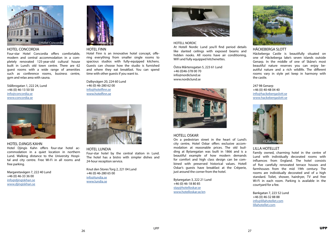## HOTEL CONCORDIA

Four-star Hotel Concordia offers comfortable, modern and central accommodation in a completely renovated 125-year-old cultural house built in Lund's old town centre. There are 62 guest rooms with a wide range of amenities such as conference rooms, business centre, gym and relax area with sauna.

Stålbrogatan 1, 222 24, Lund +46 (0) 46-13 50 50 [info@concordia.se](mailto:info%40concordia.se?subject=) [www.concordia.se](mailto:https://www.concordia.se/en.aspx?subject=)



#### HOTEL DJINGIS KAHN

Hotel Djingis Kahn offers four-star hotel accommodation in a quiet location in northern Lund. Walking distance to the University Hospital and city centre. Free Wi-Fi in all rooms and free parking.

Margaretavägen 7, 222 40 Lund +46 (0) 46-33 36 00 [info@djingiskhan.se](mailto:info%40djingiskhan.se?subject=) [www.djingiskhan.se](http://www.djingiskhan.se)



#### HOTEL FINN

Hotel Finn is an innovative hotel concept, offering everything from smaller single rooms to spacious studios with fully-equipped kitchens. Guests can choose how the studio is furnished and where they eat breakfast. You can spend time with other guests if you want to.

Dalbyvägen 20, 224 60 Lund +46 (0) 46-280 62 00 [info@hotelfinn.se](mailto:info%40hotelfinn.se?subject=) [www.hotelfinn.se](http://www.hotelfinn.se)

#### HOTEL LUNDIA

Four-star hotel by the central station in Lund. The hotel has a bistro with simpler dishes and 24-hour reception service.

Knut den Stores Torg 2, 221 04 Lund +46 (0) 46-280 65 00 [info@lundia.se](mailto:info%40lundia.se?subject=) [www.lundia.se](http://www.lundia.se/en/default.html)



#### HOTELL NORDIC

At Hotell Nordic Lund you'll find period details like slanted ceilings with exposed beams and hidden nooks. All rooms have air conditioning, WiFi and fully equipped kitchenettes.

Östra Mårtensgatan 5, 223 61 Lund +46 (0)46-378 00 70 info@nordiclund.se www.nordiclund.se

#### HOTELL OSKAR

On a pedestrian street in the heart of Lund's city centre, Hotel Oskar offers exclusive accommodation at reasonable prices. The old building at Bytaregatan was built in 1866 and is a beautiful example of how modern demands for comfort and high class design can be combined with preserved historical values. Hotell Oskar's guests have breakfast at the Crêperie, just around the corner from the hotel.

Bytaregatan 3, 222 21 Lund +46 (0) 46-18 80 85 [stay@hotelloskar.se](mailto:stay%40hotelloskar.se?subject=) [www.hotelloskar.se/en](http://www.hotelloskar.se/en)

# HÄCKEBERGA SLOTT

Häckeberga Castle is beautifully situated on one of Häckeberga lake's seven islands outside Genarp. In the middle of one of Skåne's most beautiful nature reserves you can enjoy beautiful nature and a rich wildlife. The different rooms vary in style yet keep in harmony with the castle.

247 98 Genarp +46 (0) 40-48 04 40 [info@hackebergaslott.se](mailto:info%40hackebergaslott.se?subject=) [www.hackebergaslott.se](http://www.hackebergaslott.se)

## LILLA HOTELLET

Family owned, charming hotel in the centre of Lund with individually decorated rooms with influences from England. The hotel consists of five carefully renovated terrace houses and farmhouses from the mid 19th century. The rooms are individually decorated and of a high standard. Toilet, shower, hairdryer, TV and free Wi-Fi in each room. Parking is available in the courtyard for a fee.

Bankgatan 7, 223 52 Lund +46 (0) 46-32 88 88 [info@lillahotellet.com](mailto:info%40lillahotellet.com?subject=) [lillahotellet.com](http://lillahotellet.com)









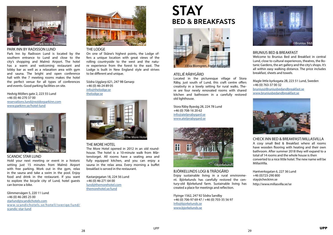# PARK INN BY RADISSON LUND

Park Inn by Radisson Lund is located by the southern entrance to Lund and close to the city's shopping and Malmö Airport. The hotel has a warm and welcoming restaurant and lobby bar as well as a relaxation area with gym and sauna. The bright and open conference hall with the 7 meeting rooms makes the hotel the perfect venue for all types of conferences and events. Good parking facilities on site.

Hedvig Möllers gate 2, 223 55 Lund +46 (0) 46-270 37 00 [reservations.lund@rezidorparkinn.com](mailto:reservations.lund%40rezidorparkinn.com?subject=) [www.parkinn.se/hotel-lund](https://www.parkinn.com/hotel-lund?prevPage=www.parkinn.se%3Eweb-extra%3Exgcpd%3Efrontpage)

#### SCANDIC STAR LUND

Hold your next meeting or event in a historic setting just 15 minutes from Malmö Airport with free parking. Work out in the gym, relax in the sauna and take a swim in the pool. Enjoy food and drink in the restaurant. If you want to explore the bicycle city of Lund, hotel guests can borrow a bike.

Glimmervägen 5, 220 11 Lund +46 (0) 46-285 25 00 [starlund@scandichotels.com](mailto:starlund%40scandichotels.com?subject=) [www.scandichotels.se/hotell/sverige/lund/](https://www.scandichotels.com/hotels/sweden/lund/scandic-star-lund?_ga=2.24437945.288813416.1507800671-475642772.1506685320) [scandic-star-lund](https://www.scandichotels.com/hotels/sweden/lund/scandic-star-lund?_ga=2.24437945.288813416.1507800671-475642772.1506685320)

# ATELJÉ RÅBYGÅRD

Located in the picturesque village of Stora Råby, just south of Lund, this craft centre offers creativity in a lovely setting for rural walks. There are four newly renovated rooms with shared kitchen and bathroom in a carefully restored old lighthouse.

Stora Råby Byaväg 28, 224 78 Lund +46 (0) 708-16 20 62 [info@ateljerabygard.se](mailto:info%40ateljerabygard.se?subject=) [www.ateljerabygard.se](http://ateljerabygard.se/in%20english.html)

BJÖRKELUNDS LOGI & TRÄDGÅRD Enjoy sustainable living in a rural environment. Björkelunds has carefully restored the century-old Björkelund farm. Sustainable living has created a place for meetings and reflection.

Flyinge 1562, 247 92 Södra Sandby +46 (0) 706-97 69 47 / +46 (0) 703-35 56 97 [Info@bjorkelunds.se](mailto:Info%40bjorkelunds.se?subject=) [www.bjorkelunds.se](http://www.bjorkelunds.se/en)

# THE LODGE

On one of Skåne's highest points, the Lodge offers a unique location with great views of the rolling countryside to the west and the nature experience from the forest to the east. The Lodge is built in New England style and strives to be different and unique.

Södra Ugglarp 621, 247 98 Genarp +46 (0) 46-24 89 05 [info@thelodge.se](mailto:info%40thelodge.se?subject=) [thelodge.se](http://thelodge.se/en/)

#### THE MORE HOTEL

The More Hotel opened in 2012 in an old roundhouse. The hotel is a 10-minute walk from Mårtenstorget. All rooms have a seating area and fully equipped kitchen, and you can enjoy a sauna in the relax area. Every morning a buffet breakfast is served in the restaurant.

Kastanjegatan 18, 224 56 Lund +46 (0) 46-271 64 00 [lund@themorehotel.com](mailto:lund%40themorehotel.com?subject=) [themorehotel.se/lund](http://themorehotel.se/en/Lund)

# BRUNIUS BED & BREAKFAST

Welcome to Brunius Bed and Breakfast in central Lund, close to cultural experiences, theatres, the Botanic Gardens, the art gallery and the city's shops. It's all within easy walking distance. The price includes breakfast, sheets and towels.

Magle little kyrkogata 2B, 223 51 Lund, Sweden +46 (0) 763-37 00 32 [brunius@Bruniusbedandbreakfast.se](mailto:brunius%40Bruniusbedandbreakfast.se?subject=) [www.bruniusbedandbreakfast.se](http://www.bruniusbedandbreakfast.se)



CHECK INN BED & BREAKFAST/MILLASVILLA

A cosy small Bed & Breakfast where all rooms have wooden flooring with heating and their own bathroom. After summer 2018 they will expand to a total of 14 rooms and the whole house is then converted to a nice little hotel. The new name will be MillasVilla.

Hantverksgatan 6, 227 36 Lund +46 (0)723-290 800 stay@checkinn.se http://www.millasvilla.se/se













<span id="page-14-0"></span>

# **STAY BED & BREAKFASTS**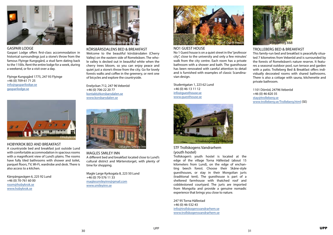KÖRSBÄRSDALENS BED & BREAKFAST

Welcome to the beautiful körsbärsdalen (Cherry Valley) on the eastern side of Romeleåsen. The whole valley is decked out in beautiful white when the cherry trees bloom, so you can enjoy peace and quiet just a stone's throw from the city. Go for lovely forests walks and coffee in the greenery, or rent one of bicycles and explore the countryside.

Enelyckan 712, 247 96 Veberöd +46 (0) 706-22 20 77 [kontakt@korsbarsdalen.se](mailto:kontakt%40korsbarsdalen.se?subject=) [www.korsbarsdalen.se](http://korsbarsdalen.se/english/index.html)

#### MAGLES SMILEY INN

A different bed and breakfast located close to Lund's cultural district and Mårtenstorget, with plenty of time for shopping.

Magle Large Kyrkogata 8, 223 50 Lund +46 (0) 70-576 11 33 [maglessmileyinn@gmail.com](mailto:maglessmileyinn%40gmail.com?subject=) [www.smileyinn.se](http://smileyinn.se/)

#### NO1 GUEST HOUSE

No 1 Guest house is on a quiet street in the "professor city", close to the university and only a few minutes' walk from the city centre. Each room has a private bathroom with a shower and bath. The guesthouse has been renovated with careful attention to detail and is furnished with examples of classic Scandinavian design.

Studentgatan 1, 223 62 Lund +46 (0) 46-13 11 12 [info@guesthouse.se](mailto:info%40guesthouse.se?subject=) [www.guesthouse.se](http://www.guesthouse.se/)

STF Trollskogens Vandrarhem (youth hostel)

Trollskogen's youth hostel is located at the edge of the village Torna Hällestad (about 15 kilometers from Lund), on the edge of enchanting beech forest. Choose their Skåne-style guesthouses, or stay in their Mongolian jurts (traditional tent). The guesthouse is part of a sheltered farmhouse with thatched roof and cobblestoned courtyard. The jurts are imported from Mongolia and provide a genuine nomadic experience that brings you close to nature.

247 95 Torna Hällestad +46 (0) 46-532 43 [info@trollskogensvandrarhem.se](mailto:info%40trollskogensvandrarhem.se?subject=) [www.trollskogensvandrarhem.se](http://www.trollskogensvandrarhem.se/index.php/en)



# TROLLEBERG BED & BREAKFAST

This family-run bed and breakfast is peacefully situated 7 kilometres from Veberöd and is surrounded by the forests of Romeleåsen's nature reserve. It features a seasonal outdoor pool, sun terrace and garden with a patio. Trolleberg Bed & Breakfast offers individually decorated rooms with shared bathrooms. There is also a cottage with sauna, kitchenette and private bathroom.

1101 Dörröd, 24796 Veberöd +46 (0) 46-820 35 [stay@trolleberg.se](mailto:stay%40trolleberg.se?subject=) [www.trolleberg.se/Trolleberg.html](http://www.trolleberg.se/Trolleberg.html) (SE)

Gaspari Lodge offers first-class accommodation in historical surroundings just a stone's throw from the famous Flyinge Kungsgård, a stud farm dating back to the 1100s. Rent the entire lodge for a week, during a weekend, or for a visit over a day.

Flyinge Kungsgård 1775, 247 93 Flyinge +46 (0) 709-61 71 25 [info@gasparilodge.se](mailto:info%40gasparilodge.se?subject=) [gasparilodge.se](http://gasparilodge.se/)

## HOBYKROK BED AND BREAKFAST

A countryside bed and breakfast just outside Lund with comfortable accommodation in spacious rooms with a magnificent view of Lund's plains. The rooms have fully tiled bathrooms with shower and toilet, parquet floors, TV, Wi-Fi, wardrobe and desk. There is also access to a kitchen.

Kärrpängavägen 6, 225 92 Lund +46 (0) 70-761 60 00 [room@hobykrok.se](mailto:room%40hobykrok.se?subject=) [www.hobykrok.se](http://www.hobykrok.se/en_index.html)





# GASPARI LODGE